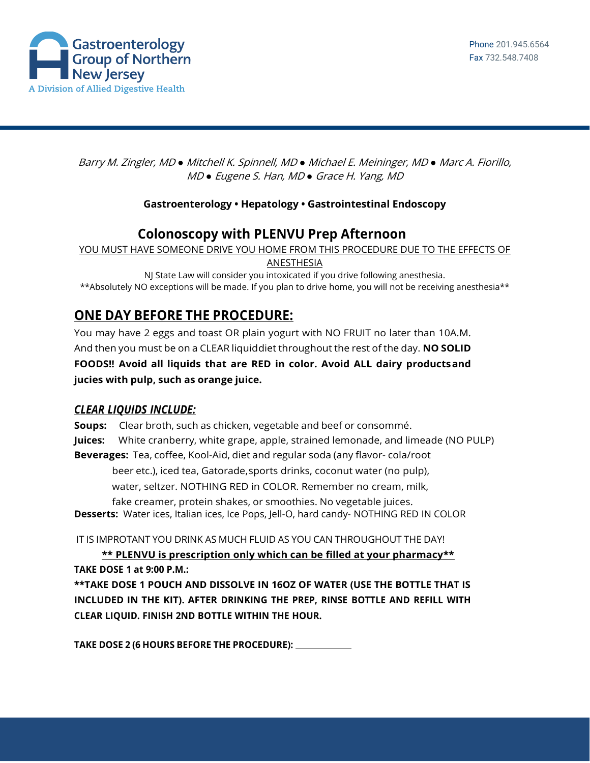

Barry M. Zingler, MD *●* Mitchell K. Spinnell, MD *●* Michael E. Meininger, MD *●* Marc A. Fiorillo, MD *●* Eugene S. Han, MD *●* Grace H. Yang, MD

## **Gastroenterology • Hepatology • Gastrointestinal Endoscopy**

## **Colonoscopy with PLENVU Prep Afternoon**

YOU MUST HAVE SOMEONE DRIVE YOU HOME FROM THIS PROCEDURE DUE TO THE EFFECTS OF

ANESTHESIA

NJ State Law will consider you intoxicated if you drive following anesthesia. \*\*Absolutely NO exceptions will be made. If you plan to drive home, you will not be receiving anesthesia\*\*

## **ONE DAY BEFORE THE PROCEDURE:**

You may have 2 eggs and toast OR plain yogurt with NO FRUIT no later than 10A.M. And then you must be on a CLEAR liquiddiet throughout the rest of the day. **NO SOLID FOODS!! Avoid all liquids that are RED in color. Avoid ALL dairy productsand jucies with pulp, such as orange juice.**

## *CLEAR LIQUIDS INCLUDE:*

**Soups:** Clear broth, such as chicken, vegetable and beef or consommé. **Juices:** White cranberry, white grape, apple, strained lemonade, and limeade (NO PULP) **Beverages:** Tea, coffee, Kool-Aid, diet and regular soda (any flavor- cola/root beer etc.), iced tea, Gatorade,sports drinks, coconut water (no pulp), water, seltzer. NOTHING RED in COLOR. Remember no cream, milk, fake creamer, protein shakes, or smoothies. No vegetable juices. **Desserts:** Water ices, Italian ices, Ice Pops, Jell-O, hard candy- NOTHING RED IN COLOR IT IS IMPROTANT YOU DRINK AS MUCH FLUID AS YOU CAN THROUGHOUT THE DAY!

**\*\* PLENVU is prescription only which can be filled at your pharmacy\*\* TAKE DOSE 1 at 9:00 P.M.: \*\*TAKE DOSE 1 POUCH AND DISSOLVE IN 16OZ OF WATER (USE THE BOTTLE THAT IS** 

**INCLUDED IN THE KIT). AFTER DRINKING THE PREP, RINSE BOTTLE AND REFILL WITH CLEAR LIQUID. FINISH 2ND BOTTLE WITHIN THE HOUR.**

**TAKE DOSE 2 (6 HOURS BEFORE THE PROCEDURE):**